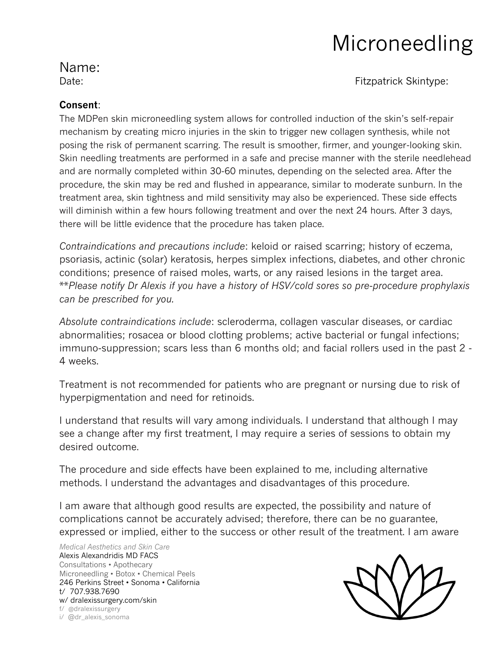# Microneedling

### Name:

Date: External of the Contract of the Contract of the Fitzpatrick Skintype:

### **Consent**:

The MDPen skin microneedling system allows for controlled induction of the skin's self-repair mechanism by creating micro injuries in the skin to trigger new collagen synthesis, while not posing the risk of permanent scarring. The result is smoother, firmer, and younger-looking skin. Skin needling treatments are performed in a safe and precise manner with the sterile needlehead and are normally completed within 30-60 minutes, depending on the selected area. After the procedure, the skin may be red and flushed in appearance, similar to moderate sunburn. In the treatment area, skin tightness and mild sensitivity may also be experienced. These side effects will diminish within a few hours following treatment and over the next 24 hours. After 3 days, there will be little evidence that the procedure has taken place.

*Contraindications and precautions include*: keloid or raised scarring; history of eczema, psoriasis, actinic (solar) keratosis, herpes simplex infections, diabetes, and other chronic conditions; presence of raised moles, warts, or any raised lesions in the target area. \*\**Please notify Dr Alexis if you have a history of HSV/cold sores so pre-procedure prophylaxis can be prescribed for you.*

*Absolute contraindications include*: scleroderma, collagen vascular diseases, or cardiac abnormalities; rosacea or blood clotting problems; active bacterial or fungal infections; immuno-suppression; scars less than 6 months old; and facial rollers used in the past 2 - 4 weeks.

Treatment is not recommended for patients who are pregnant or nursing due to risk of hyperpigmentation and need for retinoids.

I understand that results will vary among individuals. I understand that although I may see a change after my first treatment, I may require a series of sessions to obtain my desired outcome.

The procedure and side effects have been explained to me, including alternative methods. I understand the advantages and disadvantages of this procedure.

I am aware that although good results are expected, the possibility and nature of complications cannot be accurately advised; therefore, there can be no guarantee, expressed or implied, either to the success or other result of the treatment. I am aware

*Medical Aesthetics and Skin Care* Alexis Alexandridis MD FACS Consultations • Apothecary Microneedling • Botox • Chemical Peels 246 Perkins Street • Sonoma • California t/ 707.938.7690 w/ dralexissurgery.com/skin f/ @dralexissurgery i/ @dr\_alexis\_sonoma